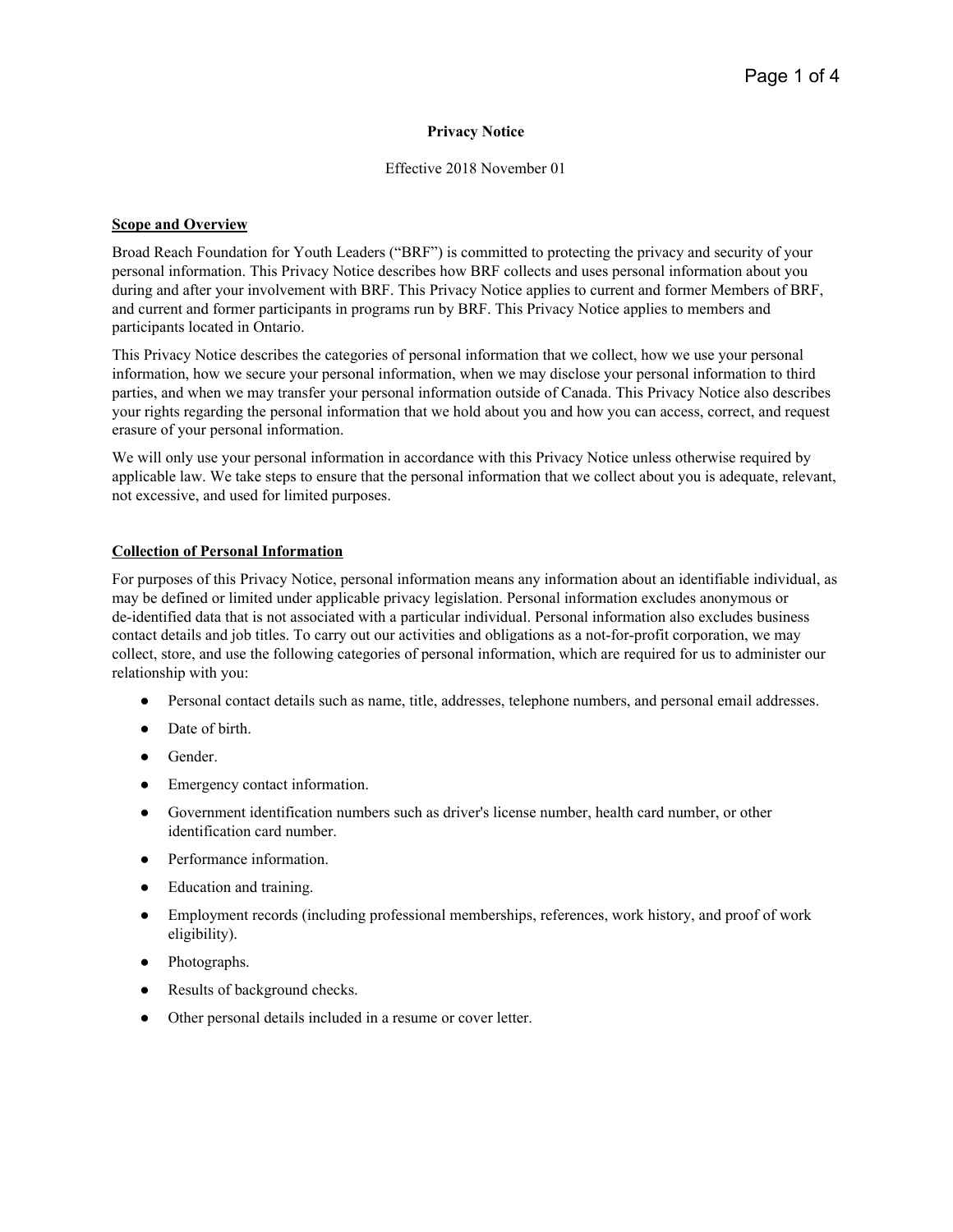### **Privacy Notice**

### Effective 2018 November 01

### **Scope and Overview**

Broad Reach Foundation for Youth Leaders ("BRF") is committed to protecting the privacy and security of your personal information. This Privacy Notice describes how BRF collects and uses personal information about you during and after your involvement with BRF. This Privacy Notice applies to current and former Members of BRF, and current and former participants in programs run by BRF. This Privacy Notice applies to members and participants located in Ontario.

This Privacy Notice describes the categories of personal information that we collect, how we use your personal information, how we secure your personal information, when we may disclose your personal information to third parties, and when we may transfer your personal information outside of Canada. This Privacy Notice also describes your rights regarding the personal information that we hold about you and how you can access, correct, and request erasure of your personal information.

We will only use your personal information in accordance with this Privacy Notice unless otherwise required by applicable law. We take steps to ensure that the personal information that we collect about you is adequate, relevant, not excessive, and used for limited purposes.

### **Collection of Personal Information**

For purposes of this Privacy Notice, personal information means any information about an identifiable individual, as may be defined or limited under applicable privacy legislation. Personal information excludes anonymous or de-identified data that is not associated with a particular individual. Personal information also excludes business contact details and job titles. To carry out our activities and obligations as a not-for-profit corporation, we may collect, store, and use the following categories of personal information, which are required for us to administer our relationship with you:

- Personal contact details such as name, title, addresses, telephone numbers, and personal email addresses.
- Date of birth.
- Gender.
- Emergency contact information.
- Government identification numbers such as driver's license number, health card number, or other identification card number.
- Performance information
- Education and training.
- Employment records (including professional memberships, references, work history, and proof of work eligibility).
- Photographs.
- Results of background checks.
- Other personal details included in a resume or cover letter.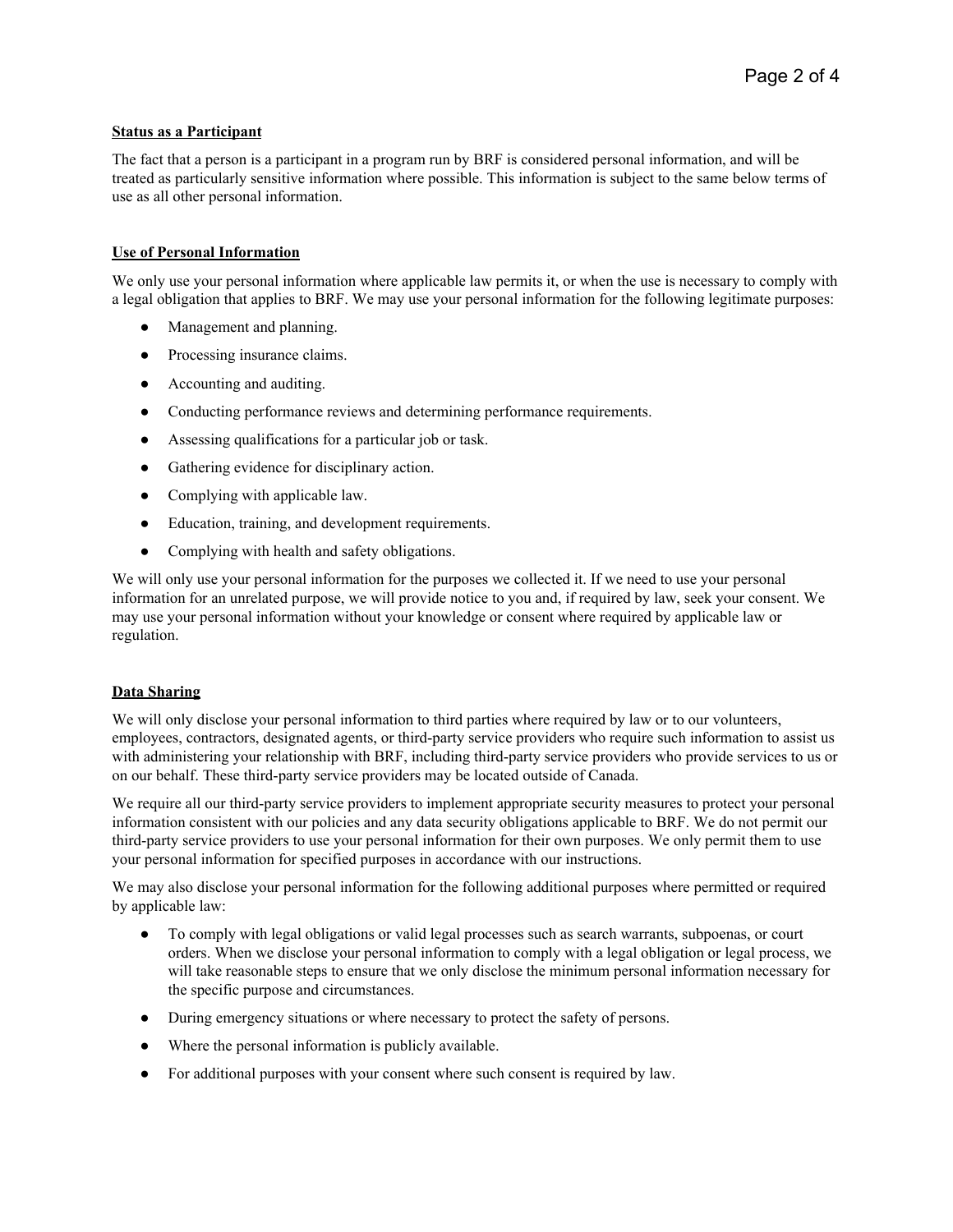# **Status as a Participant**

The fact that a person is a participant in a program run by BRF is considered personal information, and will be treated as particularly sensitive information where possible. This information is subject to the same below terms of use as all other personal information.

# **Use of Personal Information**

We only use your personal information where applicable law permits it, or when the use is necessary to comply with a legal obligation that applies to BRF. We may use your personal information for the following legitimate purposes:

- Management and planning.
- Processing insurance claims.
- Accounting and auditing.
- Conducting performance reviews and determining performance requirements.
- Assessing qualifications for a particular job or task.
- Gathering evidence for disciplinary action.
- Complying with applicable law.
- Education, training, and development requirements.
- Complying with health and safety obligations.

We will only use your personal information for the purposes we collected it. If we need to use your personal information for an unrelated purpose, we will provide notice to you and, if required by law, seek your consent. We may use your personal information without your knowledge or consent where required by applicable law or regulation.

### **Data Sharing**

We will only disclose your personal information to third parties where required by law or to our volunteers, employees, contractors, designated agents, or third-party service providers who require such information to assist us with administering your relationship with BRF, including third-party service providers who provide services to us or on our behalf. These third-party service providers may be located outside of Canada.

We require all our third-party service providers to implement appropriate security measures to protect your personal information consistent with our policies and any data security obligations applicable to BRF. We do not permit our third-party service providers to use your personal information for their own purposes. We only permit them to use your personal information for specified purposes in accordance with our instructions.

We may also disclose your personal information for the following additional purposes where permitted or required by applicable law:

- To comply with legal obligations or valid legal processes such as search warrants, subpoenas, or court orders. When we disclose your personal information to comply with a legal obligation or legal process, we will take reasonable steps to ensure that we only disclose the minimum personal information necessary for the specific purpose and circumstances.
- During emergency situations or where necessary to protect the safety of persons.
- Where the personal information is publicly available.
- For additional purposes with your consent where such consent is required by law.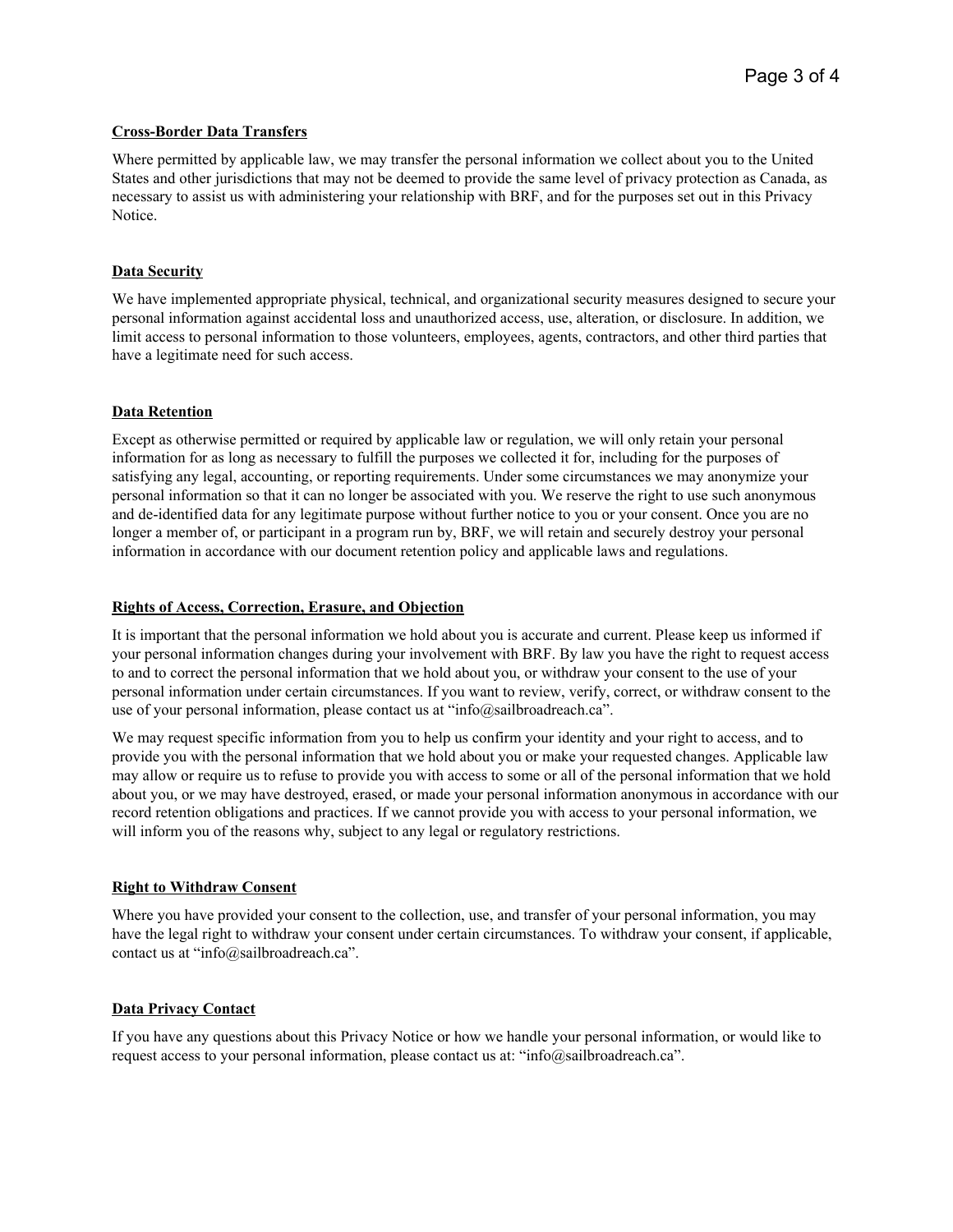### **Cross-Border Data Transfers**

Where permitted by applicable law, we may transfer the personal information we collect about you to the United States and other jurisdictions that may not be deemed to provide the same level of privacy protection as Canada, as necessary to assist us with administering your relationship with BRF, and for the purposes set out in this Privacy Notice.

### **Data Security**

We have implemented appropriate physical, technical, and organizational security measures designed to secure your personal information against accidental loss and unauthorized access, use, alteration, or disclosure. In addition, we limit access to personal information to those volunteers, employees, agents, contractors, and other third parties that have a legitimate need for such access.

### **Data Retention**

Except as otherwise permitted or required by applicable law or regulation, we will only retain your personal information for as long as necessary to fulfill the purposes we collected it for, including for the purposes of satisfying any legal, accounting, or reporting requirements. Under some circumstances we may anonymize your personal information so that it can no longer be associated with you. We reserve the right to use such anonymous and de-identified data for any legitimate purpose without further notice to you or your consent. Once you are no longer a member of, or participant in a program run by, BRF, we will retain and securely destroy your personal information in accordance with our document retention policy and applicable laws and regulations.

#### **Rights of Access, Correction, Erasure, and Objection**

It is important that the personal information we hold about you is accurate and current. Please keep us informed if your personal information changes during your involvement with BRF. By law you have the right to request access to and to correct the personal information that we hold about you, or withdraw your consent to the use of your personal information under certain circumstances. If you want to review, verify, correct, or withdraw consent to the use of your personal information, please contact us at "info@sailbroadreach.ca".

We may request specific information from you to help us confirm your identity and your right to access, and to provide you with the personal information that we hold about you or make your requested changes. Applicable law may allow or require us to refuse to provide you with access to some or all of the personal information that we hold about you, or we may have destroyed, erased, or made your personal information anonymous in accordance with our record retention obligations and practices. If we cannot provide you with access to your personal information, we will inform you of the reasons why, subject to any legal or regulatory restrictions.

#### **Right to Withdraw Consent**

Where you have provided your consent to the collection, use, and transfer of your personal information, you may have the legal right to withdraw your consent under certain circumstances. To withdraw your consent, if applicable, contact us at "info@sailbroadreach.ca".

### **Data Privacy Contact**

If you have any questions about this Privacy Notice or how we handle your personal information, or would like to request access to your personal information, please contact us at: "info@sailbroadreach.ca".